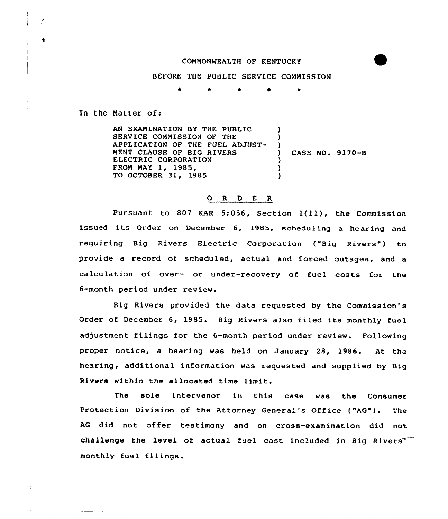## COMMONWEALTH OF KENTUCKY

## BEFORE THE PUSLIC SERVICE COMMISSION

\* \* \* 0 \*

In the Matter of:

AN EXANINATION BY THE PUBLIC SERVICE COMMISSION OF THE APPLICATION OF THE FUEL ADJUST-MENT CLAUSE OF BIG RIVERS ELECTRIC CORPORATION FROM MAY 1, 1985, TO OCTOBER 31, 1985 ) ) )<br>) ) CASE NO. 9170-B ) ) )

## 0 <sup>R</sup> <sup>D</sup> E R

Pursuant to <sup>807</sup> KAR 5:056, Section l(ll), the Commission issued its Order on December 6, 1985, scheduling <sup>a</sup> hearing and requiring Big Rivers Electric Corporation ("Big Rivers") to provide a record of scheduled, actual and forced outages, and a calculation of over- or under-recovery of fuel costs for the 6-month period under review.

Big Rivers provided the data requested by the Commission's Order of December 6, 1985. Big Rivers also filed its monthly fuel adjustment filings for the 6-month period under review. Following proper notice, a hearing was held on January 28, 1986. At the hearing, additional information was requested and supplied by Big Rivers within the allocated time limit.

The sole intervenor in this case was the Consumer Protection Division of the Attorney General's Office ("AG"). The AG did not offer testimony and on cross-examination did not challenge the level of actual fuel cost included in Big Rivers monthly fuel filings.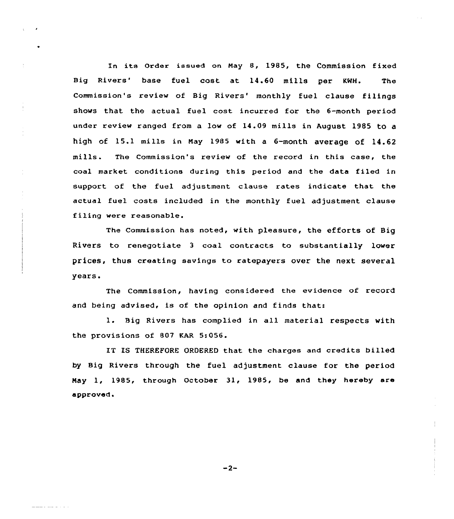In its Order issued on May 8, 1985, the Commission fixed Big Rivers' base fuel cost at 14.60 mills per KWH. The Commission's review of Big Rivers' monthly fuel clause filings shows that the actual fuel cost incurred for the 6-month period under review ranged from a low of 14.09 mills in August 1985 to a high of 15.1 mills in May 1985 with a  $6$ -month average of 14.62 mills. The Commission's review of the record in this case, the coal market conditions during this period and the data filed in suppart of the fuel adjustment clause rates indicate that the actual fuel costs included in the monthly fuel adjustment clause filing were reasonable.

The Commission has noted, with pleasure, the efforts of Big Rivers to renegotiate 3 coal contracts to substantially lower prices, thus creating savings to ratepayers over the next several years.

Commission, having considered the evidence of record and being advised, is af the opinion and finds that:

L. Big Rivers has complied in all material respects with the provisions of 807 KAR 5:056.

IT IS THEREFORE ORDERED that the charges and credits billed by Big Rivers through the fuel adjustment clause for the period May 1, 1985, through October 31, 1985, be and they hereby are approved.

 $-2-$